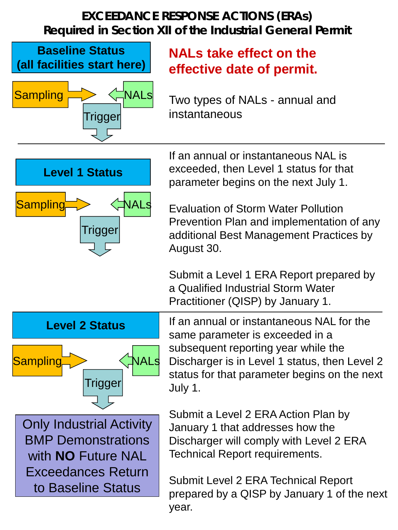## **EXCEEDANCE RESPONSE ACTIONS (ERAs) Required in Section XII of the Industrial General Permit**



## **NALs take effect on the effective date of permit.**

Two types of NALs - annual and instantaneous

**Level 1 Status** NALs **Trigger Sampling** 



If an annual or instantaneous NAL is exceeded, then Level 1 status for that parameter begins on the next July 1.

Evaluation of Storm Water Pollution Prevention Plan and implementation of any additional Best Management Practices by August 30.

Submit a Level 1 ERA Report prepared by a Qualified Industrial Storm Water Practitioner (QISP) by January 1.

If an annual or instantaneous NAL for the same parameter is exceeded in a subsequent reporting year while the Discharger is in Level 1 status, then Level 2 status for that parameter begins on the next July 1.

Only Industrial Activity BMP Demonstrations with **NO** Future NAL Exceedances Return to Baseline Status

Submit a Level 2 ERA Action Plan by January 1 that addresses how the Discharger will comply with Level 2 ERA Technical Report requirements.

Submit Level 2 ERA Technical Report prepared by a QISP by January 1 of the next year.